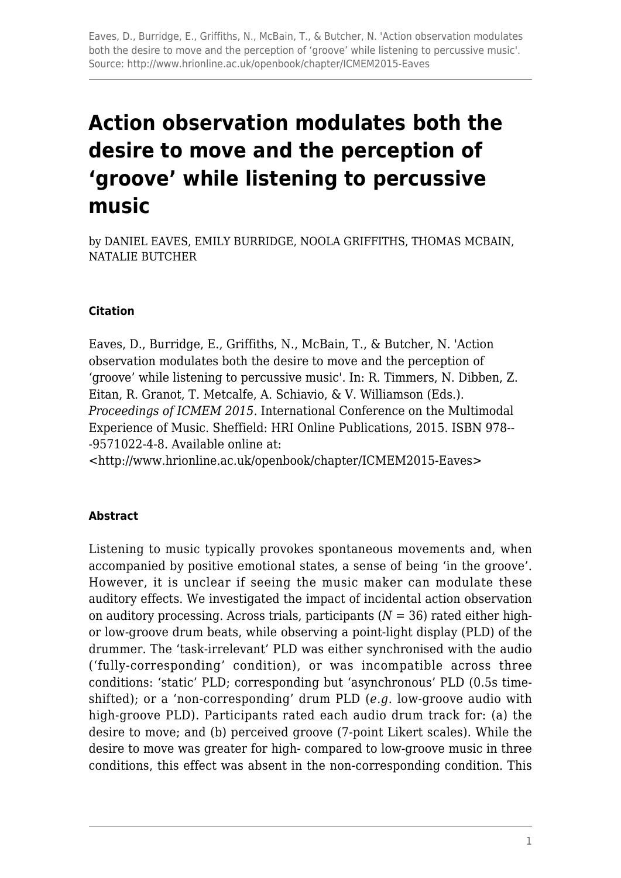# **Action observation modulates both the desire to move and the perception of 'groove' while listening to percussive music**

by DANIEL EAVES, EMILY BURRIDGE, NOOLA GRIFFITHS, THOMAS MCBAIN, NATALIE BUTCHER

#### **Citation**

Eaves, D., Burridge, E., Griffiths, N., McBain, T., & Butcher, N. 'Action observation modulates both the desire to move and the perception of 'groove' while listening to percussive music'. In: R. Timmers, N. Dibben, Z. Eitan, R. Granot, T. Metcalfe, A. Schiavio, & V. Williamson (Eds.). *Proceedings of ICMEM 2015*. International Conference on the Multimodal Experience of Music. Sheffield: HRI Online Publications, 2015. ISBN 978-- -9571022-4-8. Available online at:

<http://www.hrionline.ac.uk/openbook/chapter/ICMEM2015-Eaves>

#### **Abstract**

Listening to music typically provokes spontaneous movements and, when accompanied by positive emotional states, a sense of being 'in the groove'. However, it is unclear if seeing the music maker can modulate these auditory effects. We investigated the impact of incidental action observation on auditory processing. Across trials, participants  $(N = 36)$  rated either highor low-groove drum beats, while observing a point-light display (PLD) of the drummer. The 'task-irrelevant' PLD was either synchronised with the audio ('fully-corresponding' condition), or was incompatible across three conditions: 'static' PLD; corresponding but 'asynchronous' PLD (0.5s timeshifted); or a 'non-corresponding' drum PLD (*e.g.* low-groove audio with high-groove PLD). Participants rated each audio drum track for: (a) the desire to move; and (b) perceived groove (7-point Likert scales). While the desire to move was greater for high- compared to low-groove music in three conditions, this effect was absent in the non-corresponding condition. This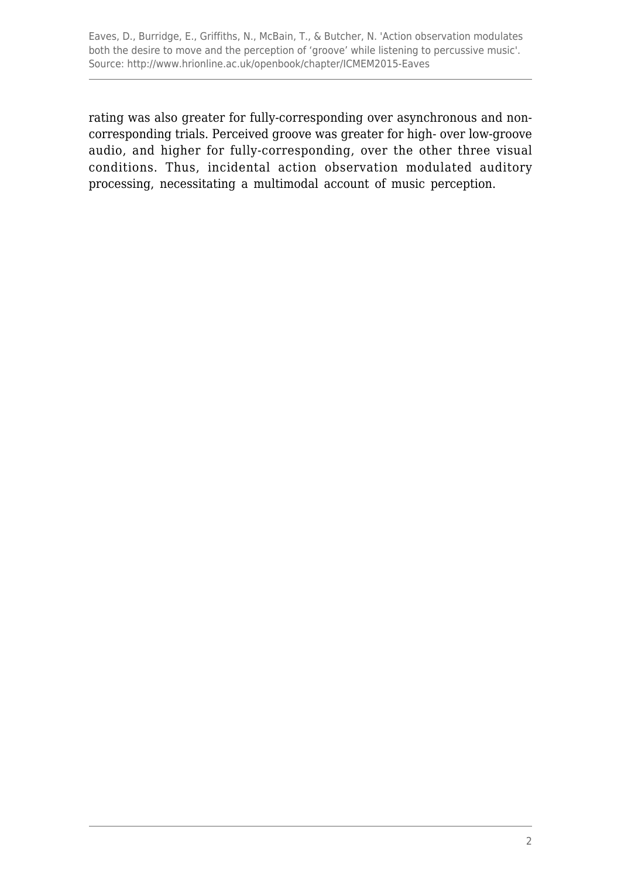Eaves, D., Burridge, E., Griffiths, N., McBain, T., & Butcher, N. 'Action observation modulates both the desire to move and the perception of 'groove' while listening to percussive music'. Source: http://www.hrionline.ac.uk/openbook/chapter/ICMEM2015-Eaves

rating was also greater for fully-corresponding over asynchronous and noncorresponding trials. Perceived groove was greater for high- over low-groove audio, and higher for fully-corresponding, over the other three visual conditions. Thus, incidental action observation modulated auditory processing, necessitating a multimodal account of music perception.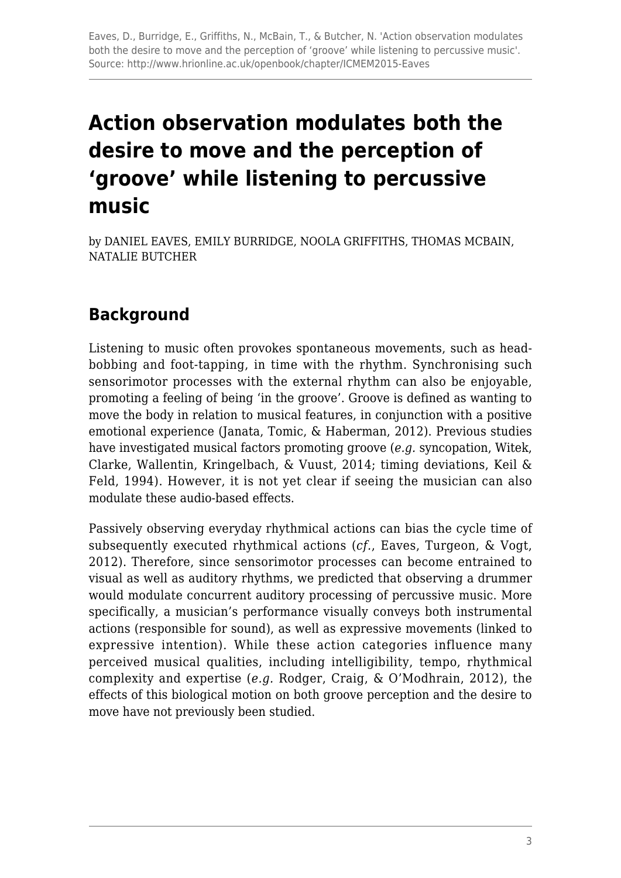# **Action observation modulates both the desire to move and the perception of 'groove' while listening to percussive music**

by DANIEL EAVES, EMILY BURRIDGE, NOOLA GRIFFITHS, THOMAS MCBAIN, NATALIE BUTCHER

# **Background**

Listening to music often provokes spontaneous movements, such as headbobbing and foot-tapping, in time with the rhythm. Synchronising such sensorimotor processes with the external rhythm can also be enjoyable, promoting a feeling of being 'in the groove'. Groove is defined as wanting to move the body in relation to musical features, in conjunction with a positive emotional experience (Janata, Tomic, & Haberman, 2012). Previous studies have investigated musical factors promoting groove (*e.g.* syncopation, Witek, Clarke, Wallentin, Kringelbach, & Vuust, 2014; timing deviations, Keil & Feld, 1994). However, it is not yet clear if seeing the musician can also modulate these audio-based effects.

Passively observing everyday rhythmical actions can bias the cycle time of subsequently executed rhythmical actions (*cf.*, Eaves, Turgeon, & Vogt, 2012). Therefore, since sensorimotor processes can become entrained to visual as well as auditory rhythms, we predicted that observing a drummer would modulate concurrent auditory processing of percussive music. More specifically, a musician's performance visually conveys both instrumental actions (responsible for sound), as well as expressive movements (linked to expressive intention). While these action categories influence many perceived musical qualities, including intelligibility, tempo, rhythmical complexity and expertise (*e.g.* Rodger, Craig, & O'Modhrain, 2012), the effects of this biological motion on both groove perception and the desire to move have not previously been studied.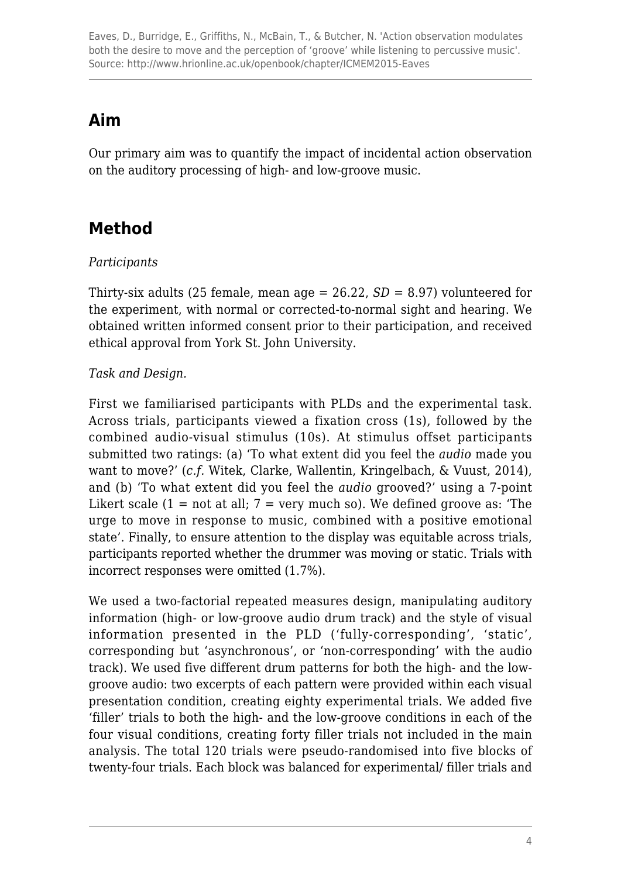## **Aim**

Our primary aim was to quantify the impact of incidental action observation on the auditory processing of high- and low-groove music.

# **Method**

#### *Participants*

Thirty-six adults (25 female, mean age  $= 26.22$ ,  $SD = 8.97$ ) volunteered for the experiment, with normal or corrected-to-normal sight and hearing. We obtained written informed consent prior to their participation, and received ethical approval from York St. John University.

#### *Task and Design.*

First we familiarised participants with PLDs and the experimental task. Across trials, participants viewed a fixation cross (1s), followed by the combined audio-visual stimulus (10s). At stimulus offset participants submitted two ratings: (a) 'To what extent did you feel the *audio* made you want to move?' (*c.f.* Witek, Clarke, Wallentin, Kringelbach, & Vuust, 2014), and (b) 'To what extent did you feel the *audio* grooved?' using a 7-point Likert scale  $(1 = not at all; 7 = very much so)$ . We defined groove as: 'The urge to move in response to music, combined with a positive emotional state'. Finally, to ensure attention to the display was equitable across trials, participants reported whether the drummer was moving or static. Trials with incorrect responses were omitted (1.7%).

We used a two-factorial repeated measures design, manipulating auditory information (high- or low-groove audio drum track) and the style of visual information presented in the PLD ('fully-corresponding', 'static', corresponding but 'asynchronous', or 'non-corresponding' with the audio track). We used five different drum patterns for both the high- and the lowgroove audio: two excerpts of each pattern were provided within each visual presentation condition, creating eighty experimental trials. We added five 'filler' trials to both the high- and the low-groove conditions in each of the four visual conditions, creating forty filler trials not included in the main analysis. The total 120 trials were pseudo-randomised into five blocks of twenty-four trials. Each block was balanced for experimental/ filler trials and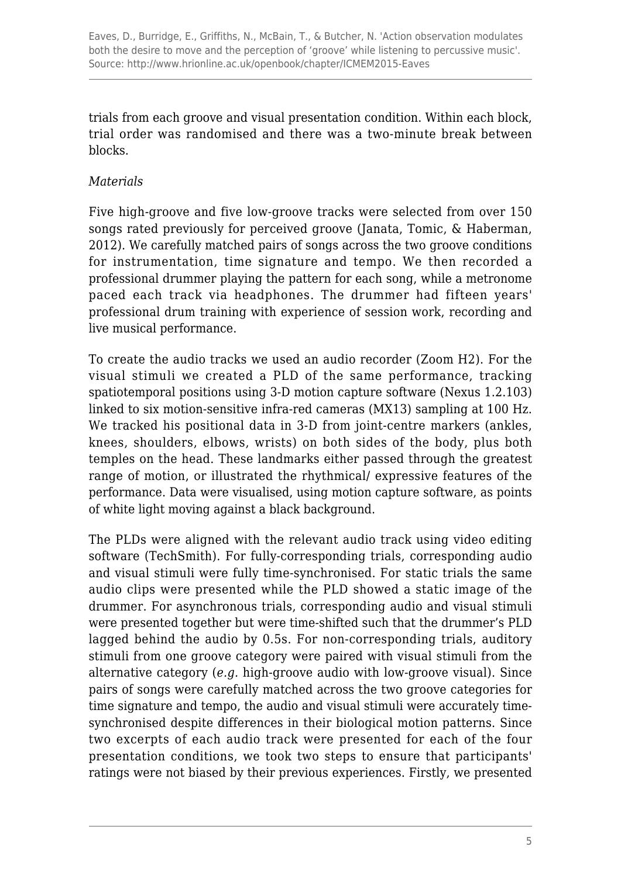trials from each groove and visual presentation condition. Within each block, trial order was randomised and there was a two-minute break between blocks.

#### *Materials*

Five high-groove and five low-groove tracks were selected from over 150 songs rated previously for perceived groove (Janata, Tomic, & Haberman, 2012). We carefully matched pairs of songs across the two groove conditions for instrumentation, time signature and tempo. We then recorded a professional drummer playing the pattern for each song, while a metronome paced each track via headphones. The drummer had fifteen years' professional drum training with experience of session work, recording and live musical performance.

To create the audio tracks we used an audio recorder (Zoom H2). For the visual stimuli we created a PLD of the same performance, tracking spatiotemporal positions using 3-D motion capture software (Nexus 1.2.103) linked to six motion-sensitive infra-red cameras (MX13) sampling at 100 Hz. We tracked his positional data in 3-D from joint-centre markers (ankles, knees, shoulders, elbows, wrists) on both sides of the body, plus both temples on the head. These landmarks either passed through the greatest range of motion, or illustrated the rhythmical/ expressive features of the performance. Data were visualised, using motion capture software, as points of white light moving against a black background.

The PLDs were aligned with the relevant audio track using video editing software (TechSmith). For fully-corresponding trials, corresponding audio and visual stimuli were fully time-synchronised. For static trials the same audio clips were presented while the PLD showed a static image of the drummer. For asynchronous trials, corresponding audio and visual stimuli were presented together but were time-shifted such that the drummer's PLD lagged behind the audio by 0.5s. For non-corresponding trials, auditory stimuli from one groove category were paired with visual stimuli from the alternative category (*e.g.* high-groove audio with low-groove visual). Since pairs of songs were carefully matched across the two groove categories for time signature and tempo, the audio and visual stimuli were accurately timesynchronised despite differences in their biological motion patterns. Since two excerpts of each audio track were presented for each of the four presentation conditions, we took two steps to ensure that participants' ratings were not biased by their previous experiences. Firstly, we presented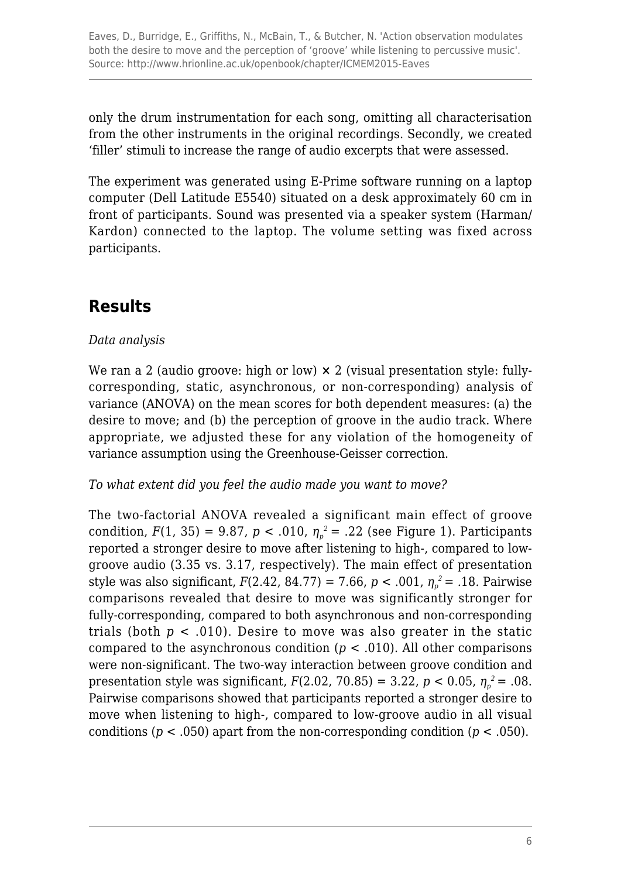only the drum instrumentation for each song, omitting all characterisation from the other instruments in the original recordings. Secondly, we created 'filler' stimuli to increase the range of audio excerpts that were assessed.

The experiment was generated using E-Prime software running on a laptop computer (Dell Latitude E5540) situated on a desk approximately 60 cm in front of participants. Sound was presented via a speaker system (Harman/ Kardon) connected to the laptop. The volume setting was fixed across participants.

# **Results**

#### *Data analysis*

We ran a 2 (audio groove: high or low)  $\times$  2 (visual presentation style: fullycorresponding, static, asynchronous, or non-corresponding) analysis of variance (ANOVA) on the mean scores for both dependent measures: (a) the desire to move; and (b) the perception of groove in the audio track. Where appropriate, we adjusted these for any violation of the homogeneity of variance assumption using the Greenhouse-Geisser correction.

#### *To what extent did you feel the audio made you want to move?*

The two-factorial ANOVA revealed a significant main effect of groove condition,  $F(1, 35) = 9.87$ ,  $p < .010$ ,  $\eta_p^2 = .22$  (see Figure 1). Participants reported a stronger desire to move after listening to high-, compared to lowgroove audio (3.35 vs. 3.17, respectively). The main effect of presentation style was also significant, *F*(2.42, 84.77) = 7.66, *p* < .001, *η<sup>p</sup> <sup>2</sup>*= .18. Pairwise comparisons revealed that desire to move was significantly stronger for fully-corresponding, compared to both asynchronous and non-corresponding trials (both  $p < .010$ ). Desire to move was also greater in the static compared to the asynchronous condition ( $p < .010$ ). All other comparisons were non-significant. The two-way interaction between groove condition and presentation style was significant,  $F(2.02, 70.85) = 3.22$ ,  $p < 0.05$ ,  $\eta_p^2 = .08$ . Pairwise comparisons showed that participants reported a stronger desire to move when listening to high-, compared to low-groove audio in all visual conditions ( $p < .050$ ) apart from the non-corresponding condition ( $p < .050$ ).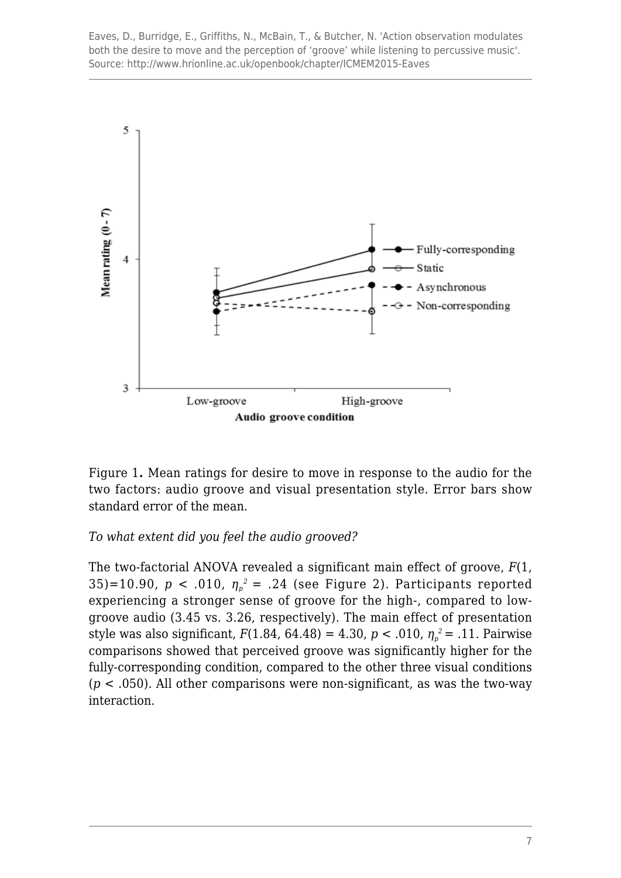Eaves, D., Burridge, E., Griffiths, N., McBain, T., & Butcher, N. 'Action observation modulates both the desire to move and the perception of 'groove' while listening to percussive music'. Source: http://www.hrionline.ac.uk/openbook/chapter/ICMEM2015-Eaves



Figure 1**.** Mean ratings for desire to move in response to the audio for the two factors: audio groove and visual presentation style. Error bars show standard error of the mean.

#### *To what extent did you feel the audio grooved?*

The two-factorial ANOVA revealed a significant main effect of groove, *F*(1, 35)=10.90,  $p < .010$ ,  $\eta_p^2 = .24$  (see Figure 2). Participants reported experiencing a stronger sense of groove for the high-, compared to lowgroove audio (3.45 vs. 3.26, respectively). The main effect of presentation style was also significant, *F*(1.84, 64.48) = 4.30, *p* < .010, *η<sup>p</sup> <sup>2</sup>*= .11. Pairwise comparisons showed that perceived groove was significantly higher for the fully-corresponding condition, compared to the other three visual conditions  $(p < .050)$ . All other comparisons were non-significant, as was the two-way interaction.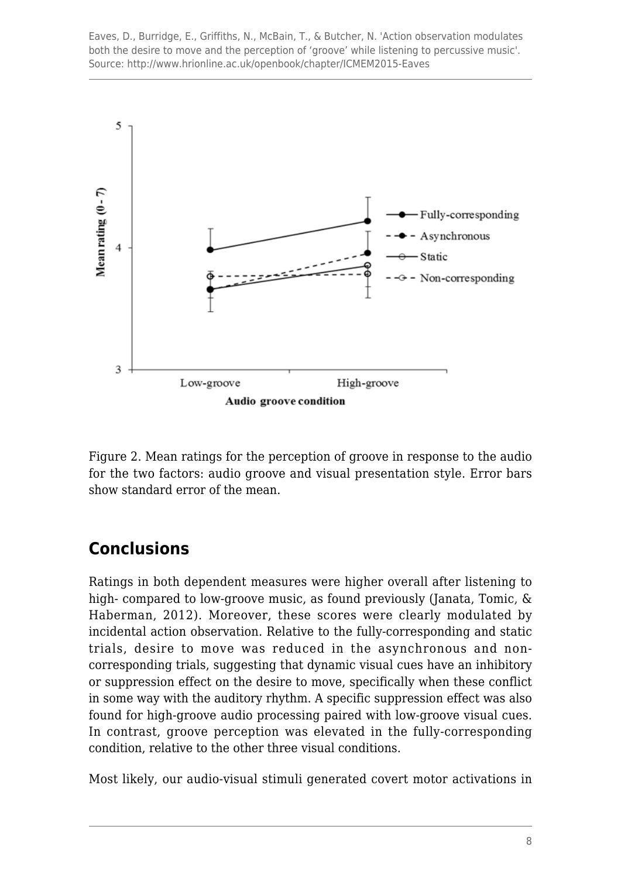Eaves, D., Burridge, E., Griffiths, N., McBain, T., & Butcher, N. 'Action observation modulates both the desire to move and the perception of 'groove' while listening to percussive music'. Source: http://www.hrionline.ac.uk/openbook/chapter/ICMEM2015-Eaves



Figure 2. Mean ratings for the perception of groove in response to the audio for the two factors: audio groove and visual presentation style. Error bars show standard error of the mean.

# **Conclusions**

Ratings in both dependent measures were higher overall after listening to high- compared to low-groove music, as found previously (Janata, Tomic, & Haberman, 2012). Moreover, these scores were clearly modulated by incidental action observation. Relative to the fully-corresponding and static trials, desire to move was reduced in the asynchronous and noncorresponding trials, suggesting that dynamic visual cues have an inhibitory or suppression effect on the desire to move, specifically when these conflict in some way with the auditory rhythm. A specific suppression effect was also found for high-groove audio processing paired with low-groove visual cues. In contrast, groove perception was elevated in the fully-corresponding condition, relative to the other three visual conditions.

Most likely, our audio-visual stimuli generated covert motor activations in